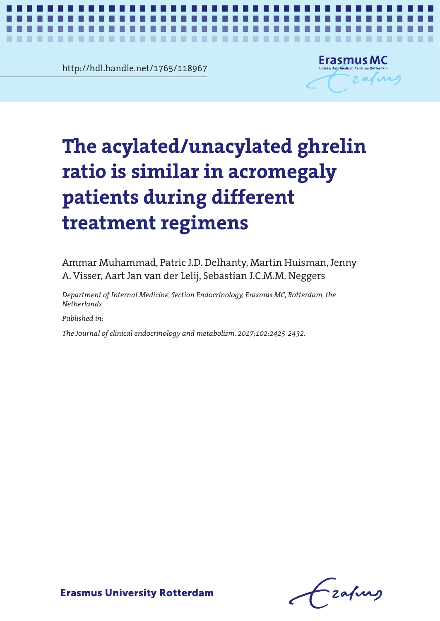**Chapter 66.11.02.11.890** http://hdl.handle.net/1765/118967

. . .

**COL** 



# The acylated/unacylated ghrelin ration de la comme de la comme de la comme de la comme de la comme de la comme de la comme de la comme de la c<br>Comme de la comme de la comme de la comme de la comme de la comme de la comme de la comme de la comme de la co patients during different treatment regimens **treatment regimens The acylated/unacylated ghrelin ratio is similar in acromegaly patients during different**

*AG/UAG ratio is similar in acromegaly patients during different treatment regimens* **1**

Ammar Muhammad, Patric J.D. Delhanty, Martin Huisman, Jenny A. Visser, Aart Jan van der Lelij, Sebastian J.C.M.M. Neggers

*Department of Internal Medicine, Section Endocrinology, Erasmus MC, Rotterdam, the Netherlands*

*Published in:*

*The Journal of clinical endocrinology and metabolism. 2017;102:2425-2432.*

-zafurs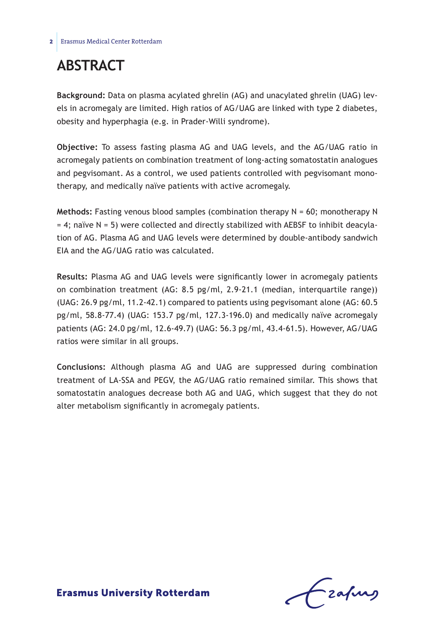# **Abstract**

**Background:** Data on plasma acylated ghrelin (AG) and unacylated ghrelin (UAG) levels in acromegaly are limited. High ratios of AG/UAG are linked with type 2 diabetes, obesity and hyperphagia (e.g. in Prader-Willi syndrome).

**Objective:** To assess fasting plasma AG and UAG levels, and the AG/UAG ratio in acromegaly patients on combination treatment of long-acting somatostatin analogues and pegvisomant. As a control, we used patients controlled with pegvisomant monotherapy, and medically naïve patients with active acromegaly.

**Methods:** Fasting venous blood samples (combination therapy N = 60; monotherapy N  $= 4$ ; naïve N = 5) were collected and directly stabilized with AEBSF to inhibit deacylation of AG. Plasma AG and UAG levels were determined by double-antibody sandwich EIA and the AG/UAG ratio was calculated.

**Results:** Plasma AG and UAG levels were significantly lower in acromegaly patients on combination treatment (AG: 8.5 pg/ml, 2.9-21.1 (median, interquartile range)) (UAG: 26.9 pg/ml, 11.2-42.1) compared to patients using pegvisomant alone (AG: 60.5 pg/ml, 58.8-77.4) (UAG: 153.7 pg/ml, 127.3-196.0) and medically naïve acromegaly patients (AG: 24.0 pg/ml, 12.6-49.7) (UAG: 56.3 pg/ml, 43.4-61.5). However, AG/UAG ratios were similar in all groups.

**Conclusions:** Although plasma AG and UAG are suppressed during combination treatment of LA-SSA and PEGV, the AG/UAG ratio remained similar. This shows that somatostatin analogues decrease both AG and UAG, which suggest that they do not alter metabolism significantly in acromegaly patients.

Frafing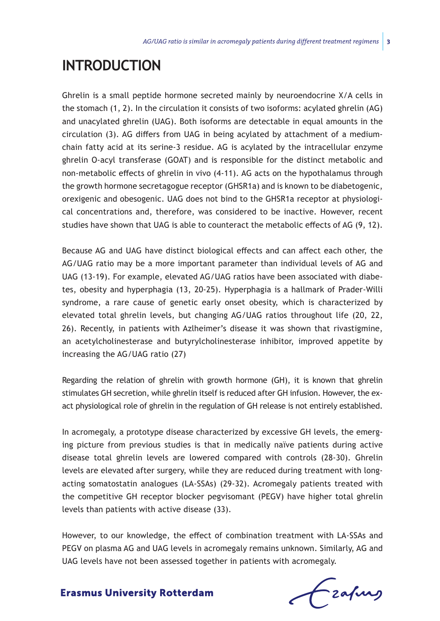# **Introduction**

Ghrelin is a small peptide hormone secreted mainly by neuroendocrine X/A cells in the stomach (1, 2). In the circulation it consists of two isoforms: acylated ghrelin (AG) and unacylated ghrelin (UAG). Both isoforms are detectable in equal amounts in the circulation (3). AG differs from UAG in being acylated by attachment of a mediumchain fatty acid at its serine-3 residue. AG is acylated by the intracellular enzyme ghrelin O-acyl transferase (GOAT) and is responsible for the distinct metabolic and non-metabolic effects of ghrelin in vivo (4-11). AG acts on the hypothalamus through the growth hormone secretagogue receptor (GHSR1a) and is known to be diabetogenic, orexigenic and obesogenic. UAG does not bind to the GHSR1a receptor at physiological concentrations and, therefore, was considered to be inactive. However, recent studies have shown that UAG is able to counteract the metabolic effects of AG (9, 12).

Because AG and UAG have distinct biological effects and can affect each other, the AG/UAG ratio may be a more important parameter than individual levels of AG and UAG (13-19). For example, elevated AG/UAG ratios have been associated with diabetes, obesity and hyperphagia (13, 20-25). Hyperphagia is a hallmark of Prader-Willi syndrome, a rare cause of genetic early onset obesity, which is characterized by elevated total ghrelin levels, but changing AG/UAG ratios throughout life (20, 22, 26). Recently, in patients with Azlheimer's disease it was shown that rivastigmine, an acetylcholinesterase and butyrylcholinesterase inhibitor, improved appetite by increasing the AG/UAG ratio (27)

Regarding the relation of ghrelin with growth hormone (GH), it is known that ghrelin stimulates GH secretion, while ghrelin itself is reduced after GH infusion. However, the exact physiological role of ghrelin in the regulation of GH release is not entirely established.

In acromegaly, a prototype disease characterized by excessive GH levels, the emerging picture from previous studies is that in medically naïve patients during active disease total ghrelin levels are lowered compared with controls (28-30). Ghrelin levels are elevated after surgery, while they are reduced during treatment with longacting somatostatin analogues (LA-SSAs) (29-32). Acromegaly patients treated with the competitive GH receptor blocker pegvisomant (PEGV) have higher total ghrelin levels than patients with active disease (33).

However, to our knowledge, the effect of combination treatment with LA-SSAs and PEGV on plasma AG and UAG levels in acromegaly remains unknown. Similarly, AG and UAG levels have not been assessed together in patients with acromegaly.

Czafurg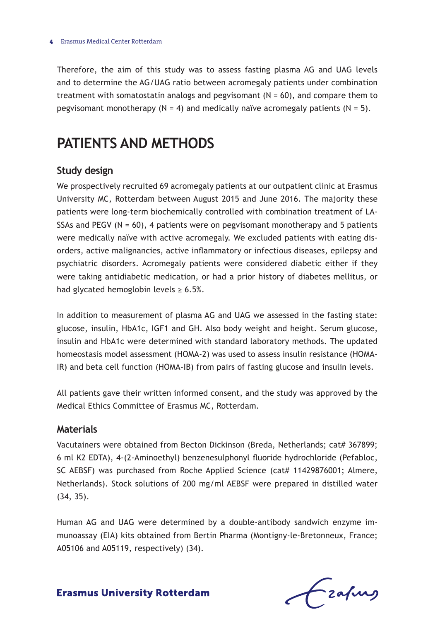Therefore, the aim of this study was to assess fasting plasma AG and UAG levels and to determine the AG/UAG ratio between acromegaly patients under combination treatment with somatostatin analogs and pegvisomant  $(N = 60)$ , and compare them to pegvisomant monotherapy  $(N = 4)$  and medically naïve acromegaly patients  $(N = 5)$ .

# **Patients and methods**

### **Study design**

We prospectively recruited 69 acromegaly patients at our outpatient clinic at Erasmus University MC, Rotterdam between August 2015 and June 2016. The majority these patients were long-term biochemically controlled with combination treatment of LA-SSAs and PEGV ( $N = 60$ ), 4 patients were on pegvisomant monotherapy and 5 patients were medically naïve with active acromegaly. We excluded patients with eating disorders, active malignancies, active inflammatory or infectious diseases, epilepsy and psychiatric disorders. Acromegaly patients were considered diabetic either if they were taking antidiabetic medication, or had a prior history of diabetes mellitus, or had glycated hemoglobin levels  $\geq 6.5\%$ .

In addition to measurement of plasma AG and UAG we assessed in the fasting state: glucose, insulin, HbA1c, IGF1 and GH. Also body weight and height. Serum glucose, insulin and HbA1c were determined with standard laboratory methods. The updated homeostasis model assessment (HOMA-2) was used to assess insulin resistance (HOMA-IR) and beta cell function (HOMA-IB) from pairs of fasting glucose and insulin levels.

All patients gave their written informed consent, and the study was approved by the Medical Ethics Committee of Erasmus MC, Rotterdam.

## **Materials**

Vacutainers were obtained from Becton Dickinson (Breda, Netherlands; cat# 367899; 6 ml K2 EDTA), 4-(2-Aminoethyl) benzenesulphonyl fluoride hydrochloride (Pefabloc, SC AEBSF) was purchased from Roche Applied Science (cat# 11429876001; Almere, Netherlands). Stock solutions of 200 mg/ml AEBSF were prepared in distilled water (34, 35).

Human AG and UAG were determined by a double-antibody sandwich enzyme immunoassay (EIA) kits obtained from Bertin Pharma (Montigny-le-Bretonneux, France; A05106 and A05119, respectively) (34).

Frafing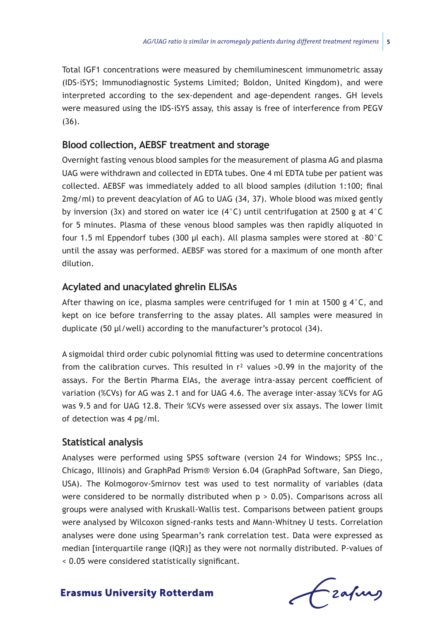Total IGF1 concentrations were measured by chemiluminescent immunometric assay (IDS-iSYS; Immunodiagnostic Systems Limited; Boldon, United Kingdom), and were interpreted according to the sex-dependent and age-dependent ranges. GH levels were measured using the IDS-iSYS assay, this assay is free of interference from PEGV (36).

## **Blood collection, AEBSF treatment and storage**

Overnight fasting venous blood samples for the measurement of plasma AG and plasma UAG were withdrawn and collected in EDTA tubes. One 4 ml EDTA tube per patient was collected. AEBSF was immediately added to all blood samples (dilution 1:100; final 2mg/ml) to prevent deacylation of AG to UAG (34, 37). Whole blood was mixed gently by inversion (3x) and stored on water ice (4°C) until centrifugation at 2500 g at 4°C for 5 minutes. Plasma of these venous blood samples was then rapidly aliquoted in four 1.5 ml Eppendorf tubes (300 μl each). All plasma samples were stored at –80°C until the assay was performed. AEBSF was stored for a maximum of one month after dilution.

## **Acylated and unacylated ghrelin ELISAs**

After thawing on ice, plasma samples were centrifuged for 1 min at 1500 g  $4^{\circ}$ C, and kept on ice before transferring to the assay plates. All samples were measured in duplicate (50 µl/well) according to the manufacturer's protocol (34).

A sigmoidal third order cubic polynomial fitting was used to determine concentrations from the calibration curves. This resulted in  $r<sup>2</sup>$  values >0.99 in the majority of the assays. For the Bertin Pharma EIAs, the average intra-assay percent coefficient of variation (%CVs) for AG was 2.1 and for UAG 4.6. The average inter-assay %CVs for AG was 9.5 and for UAG 12.8. Their %CVs were assessed over six assays. The lower limit of detection was 4 pg/ml.

## **Statistical analysis**

Analyses were performed using SPSS software (version 24 for Windows; SPSS Inc., Chicago, Illinois) and GraphPad Prism® Version 6.04 (GraphPad Software, San Diego, USA). The Kolmogorov-Smirnov test was used to test normality of variables (data were considered to be normally distributed when  $p > 0.05$ ). Comparisons across all groups were analysed with Kruskall-Wallis test. Comparisons between patient groups were analysed by Wilcoxon signed-ranks tests and Mann-Whitney U tests. Correlation analyses were done using Spearman's rank correlation test. Data were expressed as median [interquartile range (IQR)] as they were not normally distributed. P-values of < 0.05 were considered statistically significant.

frafing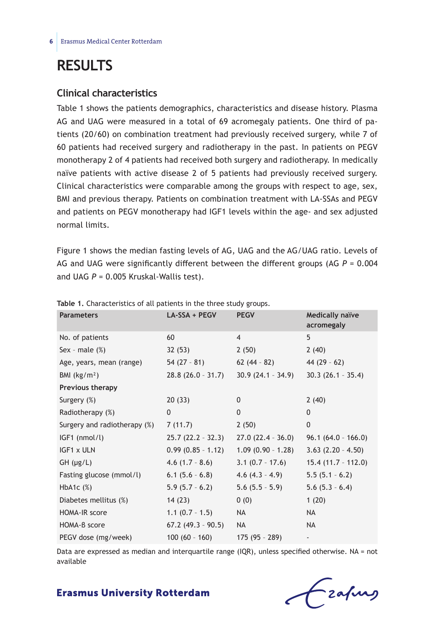# **Results**

## **Clinical characteristics**

Table 1 shows the patients demographics, characteristics and disease history. Plasma AG and UAG were measured in a total of 69 acromegaly patients. One third of patients (20/60) on combination treatment had previously received surgery, while 7 of 60 patients had received surgery and radiotherapy in the past. In patients on PEGV monotherapy 2 of 4 patients had received both surgery and radiotherapy. In medically naïve patients with active disease 2 of 5 patients had previously received surgery. Clinical characteristics were comparable among the groups with respect to age, sex, BMI and previous therapy. Patients on combination treatment with LA-SSAs and PEGV and patients on PEGV monotherapy had IGF1 levels within the age- and sex adjusted normal limits.

Figure 1 shows the median fasting levels of AG, UAG and the AG/UAG ratio. Levels of AG and UAG were significantly different between the different groups (AG *P* = 0.004 and UAG *P* = 0.005 Kruskal-Wallis test).

| <b>Parameters</b>            | LA-SSA + PEGV        | <b>PEGV</b>         | <b>Medically naïve</b><br>acromegaly |
|------------------------------|----------------------|---------------------|--------------------------------------|
| No. of patients              | 60                   | $\overline{4}$      | 5                                    |
| Sex - male $(\%)$            | 32(53)               | 2(50)               | 2(40)                                |
| Age, years, mean (range)     | $54(27 - 81)$        | $62(44 - 82)$       | 44 $(29 - 62)$                       |
| BMI $(kg/m2)$                | $28.8(26.0 - 31.7)$  | $30.9(24.1 - 34.9)$ | $30.3(26.1 - 35.4)$                  |
| Previous therapy             |                      |                     |                                      |
| Surgery $(\%)$               | 20(33)               | $\mathbf{0}$        | 2(40)                                |
| Radiotherapy (%)             | $\mathbf{0}$         | $\Omega$            | $\mathbf{0}$                         |
| Surgery and radiotherapy (%) | 7(11.7)              | 2(50)               | $\mathbf{0}$                         |
| IGF1 (nmol/l)                | $25.7(22.2 - 32.3)$  | $27.0(22.4 - 36.0)$ | $96.1(64.0 - 166.0)$                 |
| IGF1 x ULN                   | $0.99(0.85 - 1.12)$  | $1.09(0.90 - 1.28)$ | $3.63(2.20 - 4.50)$                  |
| $GH$ ( $\mu$ g/L)            | $4.6(1.7 - 8.6)$     | $3.1(0.7 - 17.6)$   | $15.4(11.7 - 112.0)$                 |
| Fasting glucose (mmol/l)     | $6.1(5.6 - 6.8)$     | $4.6(4.3 - 4.9)$    | $5.5(5.1 - 6.2)$                     |
| HbA <sub>1</sub> c $(%$      | $5.9(5.7 - 6.2)$     | $5.6(5.5 - 5.9)$    | $5.6(5.3 - 6.4)$                     |
| Diabetes mellitus (%)        | 14(23)               | 0(0)                | 1(20)                                |
| <b>HOMA-IR score</b>         | $1.1 (0.7 - 1.5)$    | NA                  | <b>NA</b>                            |
| HOMA-B score                 | $67.2$ (49.3 - 90.5) | NA.                 | <b>NA</b>                            |
| PEGV dose (mg/week)          | $100(60 - 160)$      | $175(95 - 289)$     |                                      |

**Table 1.** Characteristics of all patients in the three study groups.

Data are expressed as median and interquartile range (IQR), unless specified otherwise. NA = not available

# Frahing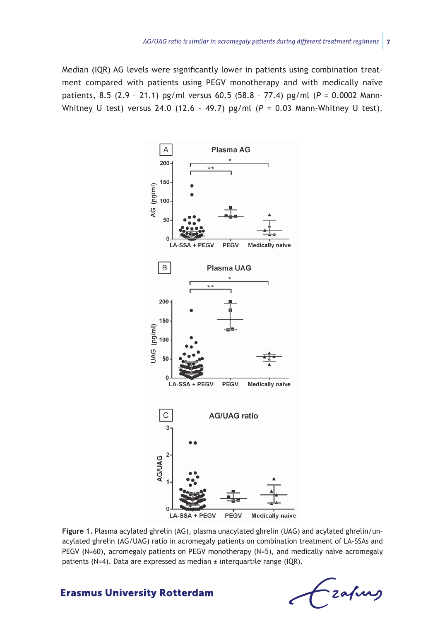Median (IQR) AG levels were significantly lower in patients using combination treatment compared with patients using PEGV monotherapy and with medically naïve patients, 8.5 (2.9 – 21.1) pg/ml versus 60.5 (58.8 – 77.4) pg/ml (*P* = 0.0002 Mann-Whitney U test) versus 24.0 (12.6 – 49.7) pg/ml (*P* = 0.03 Mann-Whitney U test).



**Figure 1.** Plasma acylated ghrelin (AG), plasma unacylated ghrelin (UAG) and acylated ghrelin/unacylated ghrelin (AG/UAG) ratio in acromegaly patients on combination treatment of LA-SSAs and PEGV (N=60), acromegaly patients on PEGV monotherapy (N=5), and medically naïve acromegaly patients (N=4). Data are expressed as median ± interquartile range (IQR).

- zafung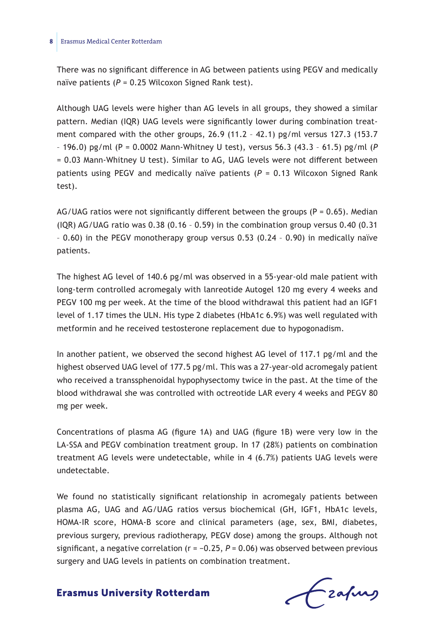#### **8** Erasmus Medical Center Rotterdam

There was no significant difference in AG between patients using PEGV and medically naïve patients (P = 0.25 Wilcoxon Signed Rank test).

Although UAG levels were higher than AG levels in all groups, they showed a similar pattern. Median (IQR) UAG levels were significantly lower during combination treatment compared with the other groups, 26.9 (11.2 - 42.1) pg/ml versus 127.3 (153.7 – 196.0) pg/ml (P = 0.0002 Mann-Whitney U test), versus 56.3 (43.3 – 61.5) pg/ml (*P* = 0.03 Mann-Whitney U test). Similar to AG, UAG levels were not different between patients using PEGV and medically naïve patients (*P* = 0.13 Wilcoxon Signed Rank test).

AG/UAG ratios were not significantly different between the groups ( $P = 0.65$ ). Median (IQR) AG/UAG ratio was  $0.38$  (0.16 - 0.59) in the combination group versus  $0.40$  (0.31) – 0.60) in the PEGV monotherapy group versus 0.53 (0.24 – 0.90) in medically naïve patients.

The highest AG level of 140.6 pg/ml was observed in a 55-year-old male patient with long-term controlled acromegaly with lanreotide Autogel 120 mg every 4 weeks and PEGV 100 mg per week. At the time of the blood withdrawal this patient had an IGF1 level of 1.17 times the ULN. His type 2 diabetes (HbA1c 6.9%) was well regulated with metformin and he received testosterone replacement due to hypogonadism.

In another patient, we observed the second highest AG level of 117.1 pg/ml and the highest observed UAG level of 177.5 pg/ml. This was a 27-year-old acromegaly patient who received a transsphenoidal hypophysectomy twice in the past. At the time of the blood withdrawal she was controlled with octreotide LAR every 4 weeks and PEGV 80 mg per week.

Concentrations of plasma AG (figure 1A) and UAG (figure 1B) were very low in the LA-SSA and PEGV combination treatment group. In 17 (28%) patients on combination treatment AG levels were undetectable, while in 4 (6.7%) patients UAG levels were undetectable.

We found no statistically significant relationship in acromegaly patients between plasma AG, UAG and AG/UAG ratios versus biochemical (GH, IGF1, HbA1c levels, HOMA-IR score, HOMA-B score and clinical parameters (age, sex, BMI, diabetes, previous surgery, previous radiotherapy, PEGV dose) among the groups. Although not significant, a negative correlation ( $r = -0.25$ ,  $P = 0.06$ ) was observed between previous surgery and UAG levels in patients on combination treatment.

Czafing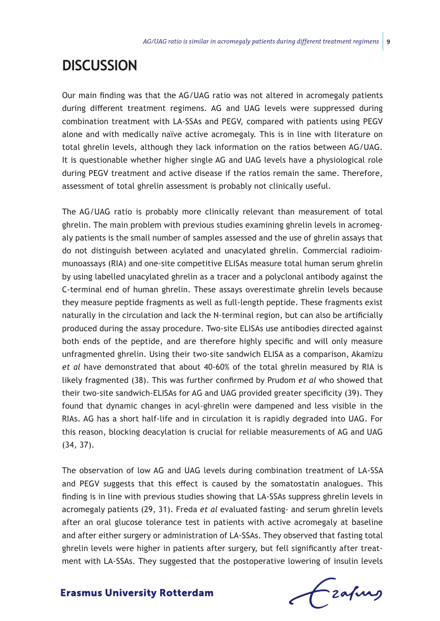# **Discussion**

Our main finding was that the AG/UAG ratio was not altered in acromegaly patients during different treatment regimens. AG and UAG levels were suppressed during combination treatment with LA-SSAs and PEGV, compared with patients using PEGV alone and with medically naïve active acromegaly. This is in line with literature on total ghrelin levels, although they lack information on the ratios between AG/UAG. It is questionable whether higher single AG and UAG levels have a physiological role during PEGV treatment and active disease if the ratios remain the same. Therefore, assessment of total ghrelin assessment is probably not clinically useful.

The AG/UAG ratio is probably more clinically relevant than measurement of total ghrelin. The main problem with previous studies examining ghrelin levels in acromegaly patients is the small number of samples assessed and the use of ghrelin assays that do not distinguish between acylated and unacylated ghrelin. Commercial radioimmunoassays (RIA) and one-site competitive ELISAs measure total human serum ghrelin by using labelled unacylated ghrelin as a tracer and a polyclonal antibody against the C-terminal end of human ghrelin. These assays overestimate ghrelin levels because they measure peptide fragments as well as full-length peptide. These fragments exist naturally in the circulation and lack the N-terminal region, but can also be artificially produced during the assay procedure. Two-site ELISAs use antibodies directed against both ends of the peptide, and are therefore highly specific and will only measure unfragmented ghrelin. Using their two-site sandwich ELISA as a comparison, Akamizu *et al* have demonstrated that about 40-60% of the total ghrelin measured by RIA is likely fragmented (38). This was further confirmed by Prudom *et al* who showed that their two-site sandwich-ELISAs for AG and UAG provided greater specificity (39). They found that dynamic changes in acyl-ghrelin were dampened and less visible in the RIAs. AG has a short half-life and in circulation it is rapidly degraded into UAG. For this reason, blocking deacylation is crucial for reliable measurements of AG and UAG (34, 37).

The observation of low AG and UAG levels during combination treatment of LA-SSA and PEGV suggests that this effect is caused by the somatostatin analogues. This finding is in line with previous studies showing that LA-SSAs suppress ghrelin levels in acromegaly patients (29, 31). Freda *et al* evaluated fasting- and serum ghrelin levels after an oral glucose tolerance test in patients with active acromegaly at baseline and after either surgery or administration of LA-SSAs. They observed that fasting total ghrelin levels were higher in patients after surgery, but fell significantly after treatment with LA-SSAs. They suggested that the postoperative lowering of insulin levels

Czafurz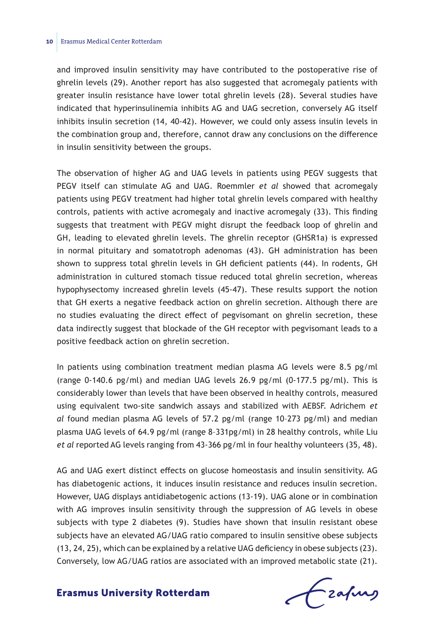and improved insulin sensitivity may have contributed to the postoperative rise of ghrelin levels (29). Another report has also suggested that acromegaly patients with greater insulin resistance have lower total ghrelin levels (28). Several studies have indicated that hyperinsulinemia inhibits AG and UAG secretion, conversely AG itself inhibits insulin secretion (14, 40-42). However, we could only assess insulin levels in the combination group and, therefore, cannot draw any conclusions on the difference in insulin sensitivity between the groups.

The observation of higher AG and UAG levels in patients using PEGV suggests that PEGV itself can stimulate AG and UAG. Roemmler *et al* showed that acromegaly patients using PEGV treatment had higher total ghrelin levels compared with healthy controls, patients with active acromegaly and inactive acromegaly (33). This finding suggests that treatment with PEGV might disrupt the feedback loop of ghrelin and GH, leading to elevated ghrelin levels. The ghrelin receptor (GHSR1a) is expressed in normal pituitary and somatotroph adenomas (43). GH administration has been shown to suppress total ghrelin levels in GH deficient patients (44). In rodents, GH administration in cultured stomach tissue reduced total ghrelin secretion, whereas hypophysectomy increased ghrelin levels (45-47). These results support the notion that GH exerts a negative feedback action on ghrelin secretion. Although there are no studies evaluating the direct effect of pegvisomant on ghrelin secretion, these data indirectly suggest that blockade of the GH receptor with pegvisomant leads to a positive feedback action on ghrelin secretion.

In patients using combination treatment median plasma AG levels were 8.5 pg/ml (range 0-140.6 pg/ml) and median UAG levels  $26.9$  pg/ml (0-177.5 pg/ml). This is considerably lower than levels that have been observed in healthy controls, measured using equivalent two-site sandwich assays and stabilized with AEBSF. Adrichem *et al* found median plasma AG levels of 57.2 pg/ml (range 10–273 pg/ml) and median plasma UAG levels of 64.9 pg/ml (range 8–331pg/ml) in 28 healthy controls, while Liu *et al* reported AG levels ranging from 43-366 pg/ml in four healthy volunteers (35, 48).

AG and UAG exert distinct effects on glucose homeostasis and insulin sensitivity. AG has diabetogenic actions, it induces insulin resistance and reduces insulin secretion. However, UAG displays antidiabetogenic actions (13-19). UAG alone or in combination with AG improves insulin sensitivity through the suppression of AG levels in obese subjects with type 2 diabetes (9). Studies have shown that insulin resistant obese subjects have an elevated AG/UAG ratio compared to insulin sensitive obese subjects (13, 24, 25), which can be explained by a relative UAG deficiency in obese subjects (23). Conversely, low AG/UAG ratios are associated with an improved metabolic state (21).

frafing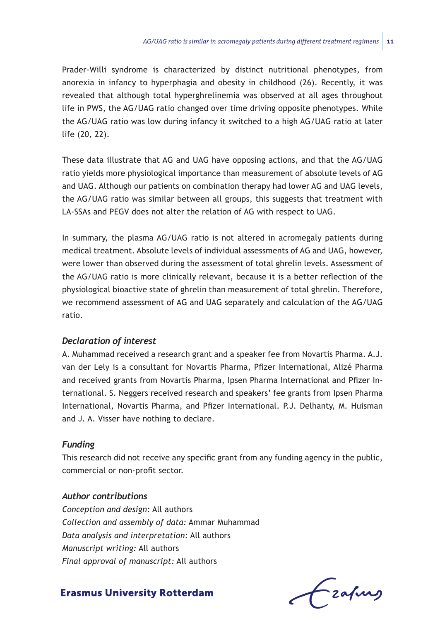Prader-Willi syndrome is characterized by distinct nutritional phenotypes, from anorexia in infancy to hyperphagia and obesity in childhood (26). Recently, it was revealed that although total hyperghrelinemia was observed at all ages throughout life in PWS, the AG/UAG ratio changed over time driving opposite phenotypes. While the AG/UAG ratio was low during infancy it switched to a high AG/UAG ratio at later life (20, 22).

These data illustrate that AG and UAG have opposing actions, and that the AG/UAG ratio yields more physiological importance than measurement of absolute levels of AG and UAG. Although our patients on combination therapy had lower AG and UAG levels, the AG/UAG ratio was similar between all groups, this suggests that treatment with LA-SSAs and PEGV does not alter the relation of AG with respect to UAG.

In summary, the plasma AG/UAG ratio is not altered in acromegaly patients during medical treatment. Absolute levels of individual assessments of AG and UAG, however, were lower than observed during the assessment of total ghrelin levels. Assessment of the AG/UAG ratio is more clinically relevant, because it is a better reflection of the physiological bioactive state of ghrelin than measurement of total ghrelin. Therefore, we recommend assessment of AG and UAG separately and calculation of the AG/UAG ratio.

# *Declaration of interest*

A. Muhammad received a research grant and a speaker fee from Novartis Pharma. A.J. van der Lely is a consultant for Novartis Pharma, Pfizer International, Alizé Pharma and received grants from Novartis Pharma, Ipsen Pharma International and Pfizer International. S. Neggers received research and speakers' fee grants from Ipsen Pharma International, Novartis Pharma, and Pfizer International. P.J. Delhanty, M. Huisman and J. A. Visser have nothing to declare.

# *Funding*

This research did not receive any specific grant from any funding agency in the public, commercial or non-profit sector.

# *Author contributions*

*Conception and design:* All authors *Collection and assembly of data:* Ammar Muhammad *Data analysis and interpretation:* All authors *Manuscript writing:* All authors *Final approval of manuscript:* All authors

**Erasmus University Rotterdam** 

- zafurs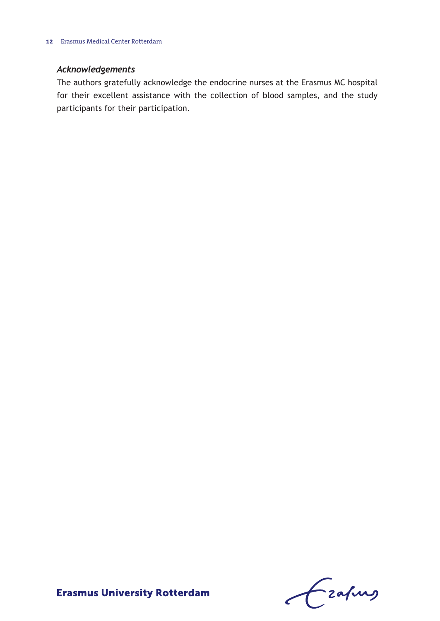# *Acknowledgements*

The authors gratefully acknowledge the endocrine nurses at the Erasmus MC hospital for their excellent assistance with the collection of blood samples, and the study participants for their participation.

Czahny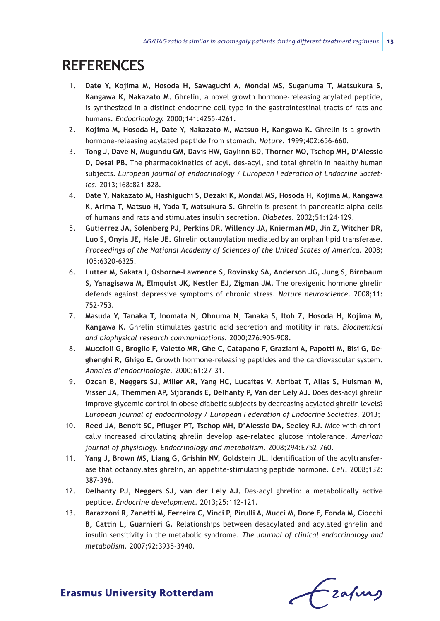# **References**

- 1. **Date Y, Kojima M, Hosoda H, Sawaguchi A, Mondal MS, Suganuma T, Matsukura S, Kangawa K, Nakazato M.** Ghrelin, a novel growth hormone-releasing acylated peptide, is synthesized in a distinct endocrine cell type in the gastrointestinal tracts of rats and humans. *Endocrinology.* 2000;141:4255-4261.
- 2. **Kojima M, Hosoda H, Date Y, Nakazato M, Matsuo H, Kangawa K.** Ghrelin is a growthhormone-releasing acylated peptide from stomach. *Nature.* 1999;402:656-660.
- 3. **Tong J, Dave N, Mugundu GM, Davis HW, Gaylinn BD, Thorner MO, Tschop MH, D'Alessio D, Desai PB.** The pharmacokinetics of acyl, des-acyl, and total ghrelin in healthy human subjects. *European journal of endocrinology / European Federation of Endocrine Societies.* 2013;168:821-828.
- 4. **Date Y, Nakazato M, Hashiguchi S, Dezaki K, Mondal MS, Hosoda H, Kojima M, Kangawa K, Arima T, Matsuo H, Yada T, Matsukura S.** Ghrelin is present in pancreatic alpha-cells of humans and rats and stimulates insulin secretion. *Diabetes.* 2002;51:124-129.
- 5. **Gutierrez JA, Solenberg PJ, Perkins DR, Willency JA, Knierman MD, Jin Z, Witcher DR, Luo S, Onyia JE, Hale JE.** Ghrelin octanoylation mediated by an orphan lipid transferase. *Proceedings of the National Academy of Sciences of the United States of America.* 2008; 105:6320-6325.
- 6. **Lutter M, Sakata I, Osborne-Lawrence S, Rovinsky SA, Anderson JG, Jung S, Birnbaum S, Yanagisawa M, Elmquist JK, Nestler EJ, Zigman JM.** The orexigenic hormone ghrelin defends against depressive symptoms of chronic stress. *Nature neuroscience.* 2008;11: 752-753.
- 7. **Masuda Y, Tanaka T, Inomata N, Ohnuma N, Tanaka S, Itoh Z, Hosoda H, Kojima M, Kangawa K.** Ghrelin stimulates gastric acid secretion and motility in rats. *Biochemical and biophysical research communications.* 2000;276:905-908.
- 8. **Muccioli G, Broglio F, Valetto MR, Ghe C, Catapano F, Graziani A, Papotti M, Bisi G, Deghenghi R, Ghigo E.** Growth hormone-releasing peptides and the cardiovascular system. *Annales d'endocrinologie.* 2000;61:27-31.
- 9. **Ozcan B, Neggers SJ, Miller AR, Yang HC, Lucaites V, Abribat T, Allas S, Huisman M, Visser JA, Themmen AP, Sijbrands E, Delhanty P, Van der Lely AJ.** Does des-acyl ghrelin improve glycemic control in obese diabetic subjects by decreasing acylated ghrelin levels? *European journal of endocrinology / European Federation of Endocrine Societies.* 2013;
- 10. **Reed JA, Benoit SC, Pfluger PT, Tschop MH, D'Alessio DA, Seeley RJ.** Mice with chronically increased circulating ghrelin develop age-related glucose intolerance. *American journal of physiology. Endocrinology and metabolism.* 2008;294:E752-760.
- 11. **Yang J, Brown MS, Liang G, Grishin NV, Goldstein JL.** Identification of the acyltransferase that octanoylates ghrelin, an appetite-stimulating peptide hormone. *Cell.* 2008;132: 387-396.
- 12. **Delhanty PJ, Neggers SJ, van der Lely AJ.** Des-acyl ghrelin: a metabolically active peptide. *Endocrine development.* 2013;25:112-121.
- 13. **Barazzoni R, Zanetti M, Ferreira C, Vinci P, Pirulli A, Mucci M, Dore F, Fonda M, Ciocchi B, Cattin L, Guarnieri G.** Relationships between desacylated and acylated ghrelin and insulin sensitivity in the metabolic syndrome. *The Journal of clinical endocrinology and metabolism.* 2007;92:3935-3940.

Czapus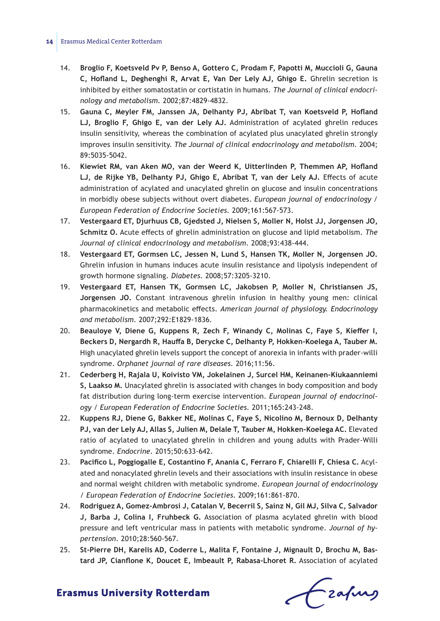#### **14** Erasmus Medical Center Rotterdam

- 14. **Broglio F, Koetsveld Pv P, Benso A, Gottero C, Prodam F, Papotti M, Muccioli G, Gauna C, Hofland L, Deghenghi R, Arvat E, Van Der Lely AJ, Ghigo E.** Ghrelin secretion is inhibited by either somatostatin or cortistatin in humans. *The Journal of clinical endocrinology and metabolism.* 2002;87:4829-4832.
- 15. **Gauna C, Meyler FM, Janssen JA, Delhanty PJ, Abribat T, van Koetsveld P, Hofland LJ, Broglio F, Ghigo E, van der Lely AJ.** Administration of acylated ghrelin reduces insulin sensitivity, whereas the combination of acylated plus unacylated ghrelin strongly improves insulin sensitivity. *The Journal of clinical endocrinology and metabolism.* 2004; 89:5035-5042.
- 16. **Kiewiet RM, van Aken MO, van der Weerd K, Uitterlinden P, Themmen AP, Hofland LJ, de Rijke YB, Delhanty PJ, Ghigo E, Abribat T, van der Lely AJ.** Effects of acute administration of acylated and unacylated ghrelin on glucose and insulin concentrations in morbidly obese subjects without overt diabetes. *European journal of endocrinology / European Federation of Endocrine Societies.* 2009;161:567-573.
- 17. **Vestergaard ET, Djurhuus CB, Gjedsted J, Nielsen S, Moller N, Holst JJ, Jorgensen JO, Schmitz O.** Acute effects of ghrelin administration on glucose and lipid metabolism. *The Journal of clinical endocrinology and metabolism.* 2008;93:438-444.
- 18. **Vestergaard ET, Gormsen LC, Jessen N, Lund S, Hansen TK, Moller N, Jorgensen JO.** Ghrelin infusion in humans induces acute insulin resistance and lipolysis independent of growth hormone signaling. *Diabetes.* 2008;57:3205-3210.
- 19. **Vestergaard ET, Hansen TK, Gormsen LC, Jakobsen P, Moller N, Christiansen JS, Jorgensen JO.** Constant intravenous ghrelin infusion in healthy young men: clinical pharmacokinetics and metabolic effects. *American journal of physiology. Endocrinology and metabolism.* 2007;292:E1829-1836.
- 20. **Beauloye V, Diene G, Kuppens R, Zech F, Winandy C, Molinas C, Faye S, Kieffer I, Beckers D, Nergardh R, Hauffa B, Derycke C, Delhanty P, Hokken-Koelega A, Tauber M.** High unacylated ghrelin levels support the concept of anorexia in infants with prader-willi syndrome. *Orphanet journal of rare diseases.* 2016;11:56.
- 21. **Cederberg H, Rajala U, Koivisto VM, Jokelainen J, Surcel HM, Keinanen-Kiukaanniemi S, Laakso M.** Unacylated ghrelin is associated with changes in body composition and body fat distribution during long-term exercise intervention. *European journal of endocrinology / European Federation of Endocrine Societies.* 2011;165:243-248.
- 22. **Kuppens RJ, Diene G, Bakker NE, Molinas C, Faye S, Nicolino M, Bernoux D, Delhanty PJ, van der Lely AJ, Allas S, Julien M, Delale T, Tauber M, Hokken-Koelega AC.** Elevated ratio of acylated to unacylated ghrelin in children and young adults with Prader-Willi syndrome. *Endocrine.* 2015;50:633-642.
- 23. **Pacifico L, Poggiogalle E, Costantino F, Anania C, Ferraro F, Chiarelli F, Chiesa C.** Acylated and nonacylated ghrelin levels and their associations with insulin resistance in obese and normal weight children with metabolic syndrome. *European journal of endocrinology / European Federation of Endocrine Societies.* 2009;161:861-870.
- 24. **Rodriguez A, Gomez-Ambrosi J, Catalan V, Becerril S, Sainz N, Gil MJ, Silva C, Salvador J, Barba J, Colina I, Fruhbeck G.** Association of plasma acylated ghrelin with blood pressure and left ventricular mass in patients with metabolic syndrome. *Journal of hypertension.* 2010;28:560-567.
- 25. **St-Pierre DH, Karelis AD, Coderre L, Malita F, Fontaine J, Mignault D, Brochu M, Bastard JP, Cianflone K, Doucet E, Imbeault P, Rabasa-Lhoret R.** Association of acylated

Fraques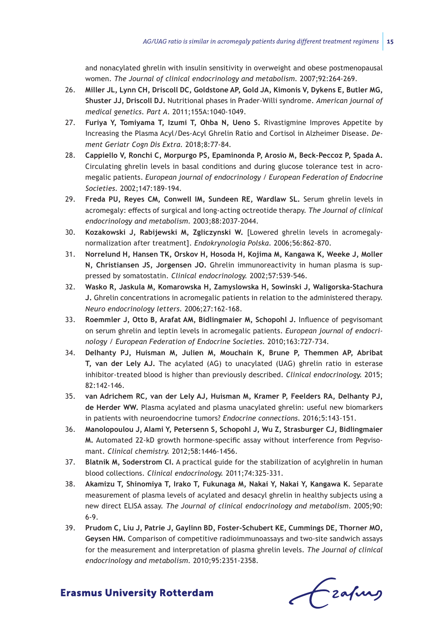and nonacylated ghrelin with insulin sensitivity in overweight and obese postmenopausal women. *The Journal of clinical endocrinology and metabolism.* 2007;92:264-269.

- 26. **Miller JL, Lynn CH, Driscoll DC, Goldstone AP, Gold JA, Kimonis V, Dykens E, Butler MG, Shuster JJ, Driscoll DJ.** Nutritional phases in Prader-Willi syndrome. *American journal of medical genetics. Part A.* 2011;155A:1040-1049.
- 27. **Furiya Y, Tomiyama T, Izumi T, Ohba N, Ueno S.** Rivastigmine Improves Appetite by Increasing the Plasma Acyl/Des-Acyl Ghrelin Ratio and Cortisol in Alzheimer Disease. *Dement Geriatr Cogn Dis Extra.* 2018;8:77-84.
- 28. **Cappiello V, Ronchi C, Morpurgo PS, Epaminonda P, Arosio M, Beck-Peccoz P, Spada A.** Circulating ghrelin levels in basal conditions and during glucose tolerance test in acromegalic patients. *European journal of endocrinology / European Federation of Endocrine Societies.* 2002;147:189-194.
- 29. **Freda PU, Reyes CM, Conwell IM, Sundeen RE, Wardlaw SL.** Serum ghrelin levels in acromegaly: effects of surgical and long-acting octreotide therapy. *The Journal of clinical endocrinology and metabolism.* 2003;88:2037-2044.
- 30. **Kozakowski J, Rabijewski M, Zgliczynski W.** [Lowered ghrelin levels in acromegalynormalization after treatment]. *Endokrynologia Polska.* 2006;56:862-870.
- 31. **Norrelund H, Hansen TK, Orskov H, Hosoda H, Kojima M, Kangawa K, Weeke J, Moller N, Christiansen JS, Jorgensen JO.** Ghrelin immunoreactivity in human plasma is suppressed by somatostatin. *Clinical endocrinology.* 2002;57:539-546.
- 32. **Wasko R, Jaskula M, Komarowska H, Zamyslowska H, Sowinski J, Waligorska-Stachura J.** Ghrelin concentrations in acromegalic patients in relation to the administered therapy. *Neuro endocrinology letters.* 2006;27:162-168.
- 33. **Roemmler J, Otto B, Arafat AM, Bidlingmaier M, Schopohl J.** Influence of pegvisomant on serum ghrelin and leptin levels in acromegalic patients. *European journal of endocrinology / European Federation of Endocrine Societies.* 2010;163:727-734.
- 34. **Delhanty PJ, Huisman M, Julien M, Mouchain K, Brune P, Themmen AP, Abribat T, van der Lely AJ.** The acylated (AG) to unacylated (UAG) ghrelin ratio in esterase inhibitor-treated blood is higher than previously described. *Clinical endocrinology.* 2015; 82:142-146.
- 35. **van Adrichem RC, van der Lely AJ, Huisman M, Kramer P, Feelders RA, Delhanty PJ, de Herder WW.** Plasma acylated and plasma unacylated ghrelin: useful new biomarkers in patients with neuroendocrine tumors? *Endocrine connections.* 2016;5:143-151.
- 36. **Manolopoulou J, Alami Y, Petersenn S, Schopohl J, Wu Z, Strasburger CJ, Bidlingmaier M.** Automated 22-kD growth hormone-specific assay without interference from Pegvisomant. *Clinical chemistry.* 2012;58:1446-1456.
- 37. **Blatnik M, Soderstrom CI.** A practical guide for the stabilization of acylghrelin in human blood collections. *Clinical endocrinology.* 2011;74:325-331.
- 38. **Akamizu T, Shinomiya T, Irako T, Fukunaga M, Nakai Y, Nakai Y, Kangawa K.** Separate measurement of plasma levels of acylated and desacyl ghrelin in healthy subjects using a new direct ELISA assay. *The Journal of clinical endocrinology and metabolism.* 2005;90: 6-9.
- 39. **Prudom C, Liu J, Patrie J, Gaylinn BD, Foster-Schubert KE, Cummings DE, Thorner MO, Geysen HM.** Comparison of competitive radioimmunoassays and two-site sandwich assays for the measurement and interpretation of plasma ghrelin levels. *The Journal of clinical endocrinology and metabolism.* 2010;95:2351-2358.

Frahing